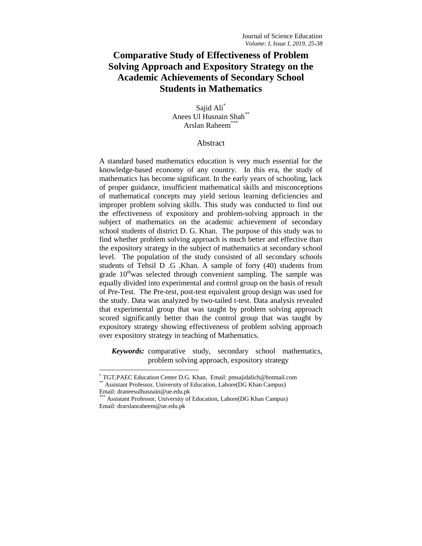# **Comparative Study of Effectiveness of Problem Solving Approach and Expository Strategy on the Academic Achievements of Secondary School Students in Mathematics**

Sajid Ali\* Anees Ul Husnain Shah\*\* Arslan Raheem\*\*

## Abstract

A standard based mathematics education is very much essential for the knowledge-based economy of any country. In this era, the study of mathematics has become significant. In the early years of schooling, lack of proper guidance, insufficient mathematical skills and misconceptions of mathematical concepts may yield serious learning deficiencies and improper problem solving skills. This study was conducted to find out the effectiveness of expository and problem-solving approach in the subject of mathematics on the academic achievement of secondary school students of district D. G. Khan. The purpose of this study was to find whether problem solving approach is much better and effective than the expository strategy in the subject of mathematics at secondary school level. The population of the study consisted of all secondary schools students of Tehsil D .G .Khan. A sample of forty (40) students from grade  $10<sup>th</sup>$  was selected through convenient sampling. The sample was equally divided into experimental and control group on the basis of result of Pre-Test. The Pre-test, post-test equivalent group design was used for the study. Data was analyzed by two-tailed t-test. Data analysis revealed that experimental group that was taught by problem solving approach scored significantly better than the control group that was taught by expository strategy showing effectiveness of problem solving approach over expository strategy in teaching of Mathematics.

*Keywords:* comparative study, secondary school mathematics, problem solving approach, expository strategy

l

<sup>\*</sup> TGT,PAEC Education Center D.G. Khan, Email: pmsajidalich@hotmail.com Assistant Professor, University of Education, Lahore(DG Khan Campus) Email: [draneesulhusnain@ue.edu.pk](mailto:draneesulhusnain@ue.edu.pk)

Assistant Professor, University of Education, Lahore(DG Khan Campus) Email: drarslanraheem@ue.edu.pk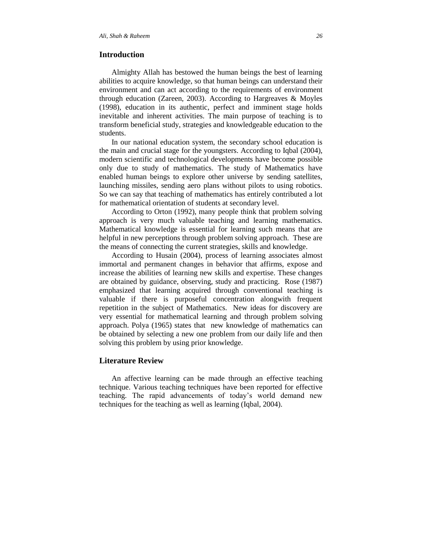## **Introduction**

Almighty Allah has bestowed the human beings the best of learning abilities to acquire knowledge, so that human beings can understand their environment and can act according to the requirements of environment through education (Zareen, 2003). According to Hargreaves & Moyles (1998), education in its authentic, perfect and imminent stage holds inevitable and inherent activities. The main purpose of teaching is to transform beneficial study, strategies and knowledgeable education to the students.

In our national education system, the secondary school education is the main and crucial stage for the youngsters. According to Iqbal (2004), modern scientific and technological developments have become possible only due to study of mathematics. The study of Mathematics have enabled human beings to explore other universe by sending satellites, launching missiles, sending aero plans without pilots to using robotics. So we can say that teaching of mathematics has entirely contributed a lot for mathematical orientation of students at secondary level.

According to Orton (1992), many people think that problem solving approach is very much valuable teaching and learning mathematics. Mathematical knowledge is essential for learning such means that are helpful in new perceptions through problem solving approach. These are the means of connecting the current strategies, skills and knowledge.

According to Husain (2004), process of learning associates almost immortal and permanent changes in behavior that affirms, expose and increase the abilities of learning new skills and expertise. These changes are obtained by guidance, observing, study and practicing. Rose (1987) emphasized that learning acquired through conventional teaching is valuable if there is purposeful concentration alongwith frequent repetition in the subject of Mathematics. New ideas for discovery are very essential for mathematical learning and through problem solving approach. Polya (1965) states that new knowledge of mathematics can be obtained by selecting a new one problem from our daily life and then solving this problem by using prior knowledge.

## **Literature Review**

An affective learning can be made through an effective teaching technique. Various teaching techniques have been reported for effective teaching. The rapid advancements of today's world demand new techniques for the teaching as well as learning (Iqbal, 2004).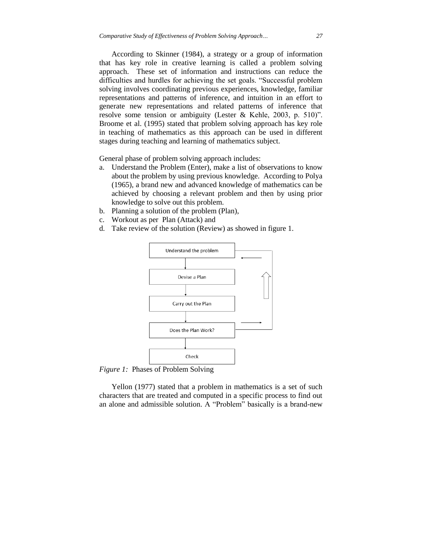According to Skinner (1984), a strategy or a group of information that has key role in creative learning is called a problem solving approach. These set of information and instructions can reduce the difficulties and hurdles for achieving the set goals. "Successful problem solving involves coordinating previous experiences, knowledge, familiar representations and patterns of inference, and intuition in an effort to generate new representations and related patterns of inference that resolve some tension or ambiguity (Lester & Kehle, 2003, p. 510)". Broome et al. (1995) stated that problem solving approach has key role in teaching of mathematics as this approach can be used in different stages during teaching and learning of mathematics subject.

General phase of problem solving approach includes:

- a. Understand the Problem (Enter), make a list of observations to know about the problem by using previous knowledge. According to Polya (1965), a brand new and advanced knowledge of mathematics can be achieved by choosing a relevant problem and then by using prior knowledge to solve out this problem.
- b. Planning a solution of the problem (Plan),
- c. Workout as per Plan (Attack) and
- d. Take review of the solution (Review) as showed in figure 1.



*Figure 1:* Phases of Problem Solving

Yellon (1977) stated that a problem in mathematics is a set of such characters that are treated and computed in a specific process to find out an alone and admissible solution. A "Problem" basically is a brand-new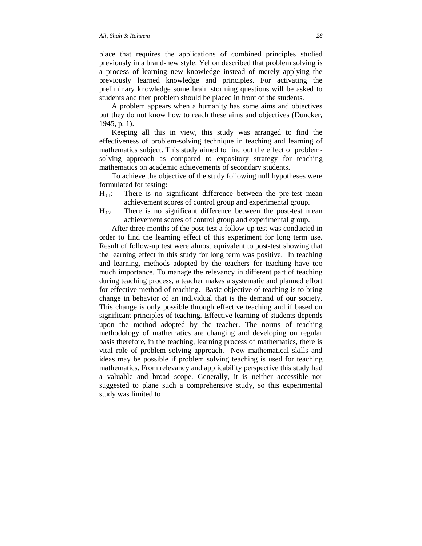place that requires the applications of combined principles studied previously in a brand-new style. Yellon described that problem solving is a process of learning new knowledge instead of merely applying the previously learned knowledge and principles. For activating the preliminary knowledge some brain storming questions will be asked to students and then problem should be placed in front of the students.

A problem appears when a humanity has some aims and objectives but they do not know how to reach these aims and objectives (Duncker, 1945, p. 1).

Keeping all this in view, this study was arranged to find the effectiveness of problem-solving technique in teaching and learning of mathematics subject. This study aimed to find out the effect of problemsolving approach as compared to expository strategy for teaching mathematics on academic achievements of secondary students.

To achieve the objective of the study following null hypotheses were formulated for testing:

- $H<sub>01</sub>$ : There is no significant difference between the pre-test mean achievement scores of control group and experimental group.
- $H_{02}$  There is no significant difference between the post-test mean achievement scores of control group and experimental group.

After three months of the post-test a follow-up test was conducted in order to find the learning effect of this experiment for long term use. Result of follow-up test were almost equivalent to post-test showing that the learning effect in this study for long term was positive. In teaching and learning, methods adopted by the teachers for teaching have too much importance. To manage the relevancy in different part of teaching during teaching process, a teacher makes a systematic and planned effort for effective method of teaching. Basic objective of teaching is to bring change in behavior of an individual that is the demand of our society. This change is only possible through effective teaching and if based on significant principles of teaching. Effective learning of students depends upon the method adopted by the teacher. The norms of teaching methodology of mathematics are changing and developing on regular basis therefore, in the teaching, learning process of mathematics, there is vital role of problem solving approach. New mathematical skills and ideas may be possible if problem solving teaching is used for teaching mathematics. From relevancy and applicability perspective this study had a valuable and broad scope. Generally, it is neither accessible nor suggested to plane such a comprehensive study, so this experimental study was limited to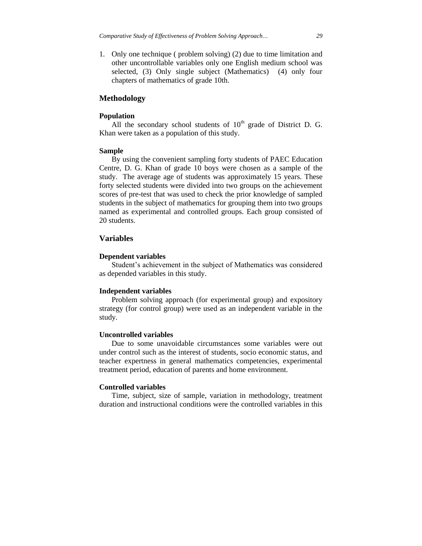1. Only one technique ( problem solving) (2) due to time limitation and other uncontrollable variables only one English medium school was selected, (3) Only single subject (Mathematics) (4) only four chapters of mathematics of grade 10th.

## **Methodology**

#### **Population**

All the secondary school students of  $10<sup>th</sup>$  grade of District D. G. Khan were taken as a population of this study.

#### **Sample**

By using the convenient sampling forty students of PAEC Education Centre, D. G. Khan of grade 10 boys were chosen as a sample of the study. The average age of students was approximately 15 years. These forty selected students were divided into two groups on the achievement scores of pre-test that was used to check the prior knowledge of sampled students in the subject of mathematics for grouping them into two groups named as experimental and controlled groups. Each group consisted of 20 students.

## **Variables**

#### **Dependent variables**

Student's achievement in the subject of Mathematics was considered as depended variables in this study.

#### **Independent variables**

Problem solving approach (for experimental group) and expository strategy (for control group) were used as an independent variable in the study.

#### **Uncontrolled variables**

Due to some unavoidable circumstances some variables were out under control such as the interest of students, socio economic status, and teacher expertness in general mathematics competencies, experimental treatment period, education of parents and home environment.

#### **Controlled variables**

Time, subject, size of sample, variation in methodology, treatment duration and instructional conditions were the controlled variables in this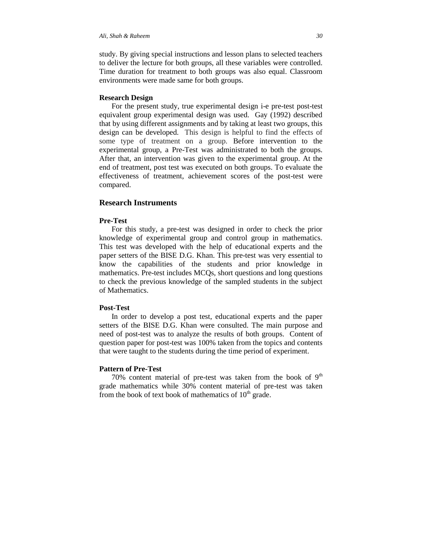study. By giving special instructions and lesson plans to selected teachers to deliver the lecture for both groups, all these variables were controlled. Time duration for treatment to both groups was also equal. Classroom environments were made same for both groups.

#### **Research Design**

For the present study, true experimental design i-e pre-test post-test equivalent group experimental design was used. Gay (1992) described that by using different assignments and by taking at least two groups, this design can be developed. This design is helpful to find the effects of some type of treatment on a group. Before intervention to the experimental group, a Pre-Test was administrated to both the groups. After that, an intervention was given to the experimental group. At the end of treatment, post test was executed on both groups. To evaluate the effectiveness of treatment, achievement scores of the post-test were compared.

## **Research Instruments**

#### **Pre-Test**

For this study, a pre-test was designed in order to check the prior knowledge of experimental group and control group in mathematics. This test was developed with the help of educational experts and the paper setters of the BISE D.G. Khan. This pre-test was very essential to know the capabilities of the students and prior knowledge in mathematics. Pre-test includes MCQs, short questions and long questions to check the previous knowledge of the sampled students in the subject of Mathematics.

## **Post-Test**

In order to develop a post test, educational experts and the paper setters of the BISE D.G. Khan were consulted. The main purpose and need of post-test was to analyze the results of both groups. Content of question paper for post-test was 100% taken from the topics and contents that were taught to the students during the time period of experiment.

## **Pattern of Pre-Test**

70% content material of pre-test was taken from the book of  $9<sup>th</sup>$ grade mathematics while 30% content material of pre-test was taken from the book of text book of mathematics of  $10<sup>th</sup>$  grade.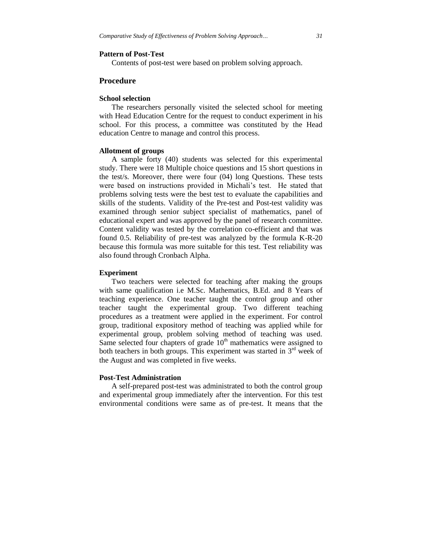#### **Pattern of Post-Test**

Contents of post-test were based on problem solving approach.

## **Procedure**

#### **School selection**

The researchers personally visited the selected school for meeting with Head Education Centre for the request to conduct experiment in his school. For this process, a committee was constituted by the Head education Centre to manage and control this process.

#### **Allotment of groups**

A sample forty (40) students was selected for this experimental study. There were 18 Multiple choice questions and 15 short questions in the test/s. Moreover, there were four (04) long Questions. These tests were based on instructions provided in Michali's test. He stated that problems solving tests were the best test to evaluate the capabilities and skills of the students. Validity of the Pre-test and Post-test validity was examined through senior subject specialist of mathematics, panel of educational expert and was approved by the panel of research committee. Content validity was tested by the correlation co-efficient and that was found 0.5. Reliability of pre-test was analyzed by the formula K-R-20 because this formula was more suitable for this test. Test reliability was also found through Cronbach Alpha.

### **Experiment**

Two teachers were selected for teaching after making the groups with same qualification i.e M.Sc. Mathematics, B.Ed. and 8 Years of teaching experience. One teacher taught the control group and other teacher taught the experimental group. Two different teaching procedures as a treatment were applied in the experiment. For control group, traditional expository method of teaching was applied while for experimental group, problem solving method of teaching was used. Same selected four chapters of grade  $10<sup>th</sup>$  mathematics were assigned to both teachers in both groups. This experiment was started in  $3<sup>rd</sup>$  week of the August and was completed in five weeks.

#### **Post-Test Administration**

A self-prepared post-test was administrated to both the control group and experimental group immediately after the intervention. For this test environmental conditions were same as of pre-test. It means that the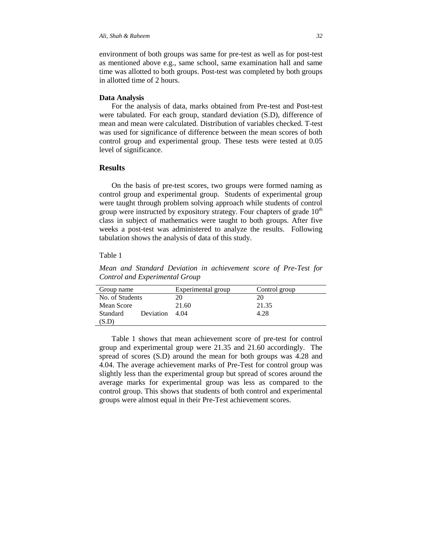environment of both groups was same for pre-test as well as for post-test as mentioned above e.g., same school, same examination hall and same time was allotted to both groups. Post-test was completed by both groups in allotted time of 2 hours.

#### **Data Analysis**

For the analysis of data, marks obtained from Pre-test and Post-test were tabulated. For each group, standard deviation (S.D), difference of mean and mean were calculated. Distribution of variables checked. T-test was used for significance of difference between the mean scores of both control group and experimental group. These tests were tested at 0.05 level of significance.

## **Results**

On the basis of pre-test scores, two groups were formed naming as control group and experimental group. Students of experimental group were taught through problem solving approach while students of control group were instructed by expository strategy. Four chapters of grade  $10<sup>th</sup>$ class in subject of mathematics were taught to both groups. After five weeks a post-test was administered to analyze the results. Following tabulation shows the analysis of data of this study.

### Table 1

*Mean and Standard Deviation in achievement score of Pre-Test for Control and Experimental Group*

| Group name      |           | Experimental group | Control group |
|-----------------|-----------|--------------------|---------------|
| No. of Students |           | 20                 |               |
| Mean Score      |           | 21.60              | 21.35         |
| Standard        | Deviation | 4.04               | 4.28          |
| (S.D)           |           |                    |               |

Table 1 shows that mean achievement score of pre-test for control group and experimental group were 21.35 and 21.60 accordingly. The spread of scores (S.D) around the mean for both groups was 4.28 and 4.04. The average achievement marks of Pre-Test for control group was slightly less than the experimental group but spread of scores around the average marks for experimental group was less as compared to the control group. This shows that students of both control and experimental groups were almost equal in their Pre-Test achievement scores.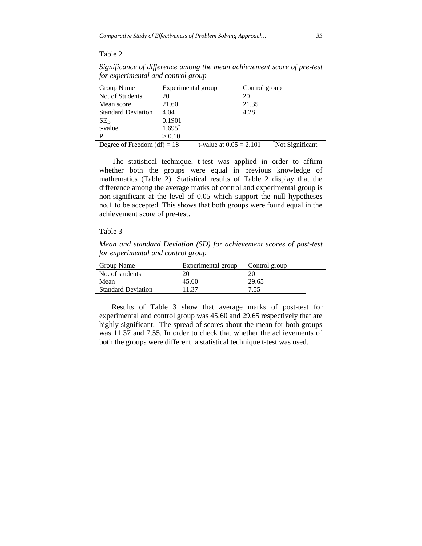## Table 2

| Significance of difference among the mean achievement score of pre-test |  |
|-------------------------------------------------------------------------|--|
| for experimental and control group                                      |  |

| Group Name                    | Experimental group |                           | Control group |                 |
|-------------------------------|--------------------|---------------------------|---------------|-----------------|
| No. of Students               | 20                 |                           | 20            |                 |
| Mean score                    | 21.60              |                           | 21.35         |                 |
| <b>Standard Deviation</b>     | 4.04               |                           | 4.28          |                 |
| SE <sub>D</sub>               | 0.1901             |                           |               |                 |
| t-value                       | $1.695*$           |                           |               |                 |
| р                             | > 0.10             |                           |               |                 |
| Degree of Freedom $(df) = 18$ |                    | t-value at $0.05 = 2.101$ |               | Not Significant |

The statistical technique, t-test was applied in order to affirm whether both the groups were equal in previous knowledge of mathematics (Table 2). Statistical results of Table 2 display that the difference among the average marks of control and experimental group is non-significant at the level of 0.05 which support the null hypotheses no.1 to be accepted. This shows that both groups were found equal in the achievement score of pre-test.

## Table 3

*Mean and standard Deviation (SD) for achievement scores of post-test for experimental and control group*

| Group Name                | Experimental group | Control group |
|---------------------------|--------------------|---------------|
| No. of students           |                    |               |
| Mean                      | 45.60              | 29.65         |
| <b>Standard Deviation</b> | 11.37              | 7.55          |
|                           |                    |               |

Results of Table 3 show that average marks of post-test for experimental and control group was 45.60 and 29.65 respectively that are highly significant. The spread of scores about the mean for both groups was 11.37 and 7.55. In order to check that whether the achievements of both the groups were different, a statistical technique t-test was used.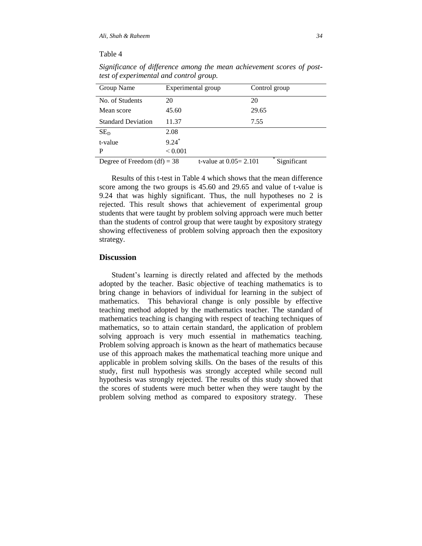### Table 4

| Group Name                    | Experimental group |                           | Control group |  |
|-------------------------------|--------------------|---------------------------|---------------|--|
| No. of Students               | 20                 |                           | 20            |  |
| Mean score                    | 45.60              |                           | 29.65         |  |
| <b>Standard Deviation</b>     | 11.37              |                           | 7.55          |  |
| $SE_D$                        | 2.08               |                           |               |  |
| t-value                       | $9.24*$            |                           |               |  |
| P                             | ${}_{0.001}$       |                           |               |  |
| Degree of Freedom $(df) = 38$ |                    | t-value at $0.05 = 2.101$ | Significant   |  |

*Significance of difference among the mean achievement scores of posttest of experimental and control group.*

Results of this t-test in Table 4 which shows that the mean difference score among the two groups is 45.60 and 29.65 and value of t-value is 9.24 that was highly significant. Thus, the null hypotheses no 2 is rejected. This result shows that achievement of experimental group students that were taught by problem solving approach were much better than the students of control group that were taught by expository strategy showing effectiveness of problem solving approach then the expository strategy.

## **Discussion**

Student's learning is directly related and affected by the methods adopted by the teacher. Basic objective of teaching mathematics is to bring change in behaviors of individual for learning in the subject of mathematics. This behavioral change is only possible by effective teaching method adopted by the mathematics teacher. The standard of mathematics teaching is changing with respect of teaching techniques of mathematics, so to attain certain standard, the application of problem solving approach is very much essential in mathematics teaching. Problem solving approach is known as the heart of mathematics because use of this approach makes the mathematical teaching more unique and applicable in problem solving skills. On the bases of the results of this study, first null hypothesis was strongly accepted while second null hypothesis was strongly rejected. The results of this study showed that the scores of students were much better when they were taught by the problem solving method as compared to expository strategy. These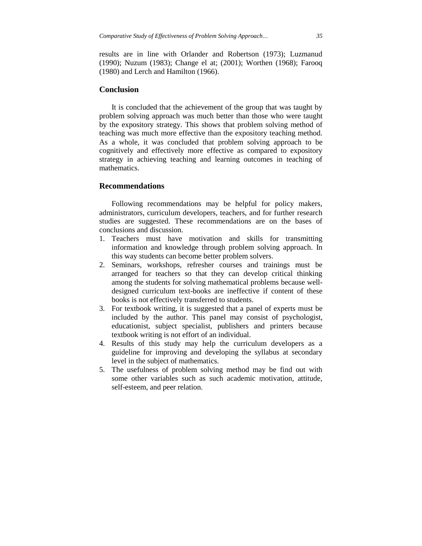results are in line with Orlander and Robertson (1973); Luzmanud (1990); Nuzum (1983); Change el at; (2001); Worthen (1968); Farooq (1980) and Lerch and Hamilton (1966).

## **Conclusion**

It is concluded that the achievement of the group that was taught by problem solving approach was much better than those who were taught by the expository strategy. This shows that problem solving method of teaching was much more effective than the expository teaching method. As a whole, it was concluded that problem solving approach to be cognitively and effectively more effective as compared to expository strategy in achieving teaching and learning outcomes in teaching of mathematics.

## **Recommendations**

Following recommendations may be helpful for policy makers, administrators, curriculum developers, teachers, and for further research studies are suggested. These recommendations are on the bases of conclusions and discussion.

- 1. Teachers must have motivation and skills for transmitting information and knowledge through problem solving approach. In this way students can become better problem solvers.
- 2. Seminars, workshops, refresher courses and trainings must be arranged for teachers so that they can develop critical thinking among the students for solving mathematical problems because welldesigned curriculum text-books are ineffective if content of these books is not effectively transferred to students.
- 3. For textbook writing, it is suggested that a panel of experts must be included by the author. This panel may consist of psychologist, educationist, subject specialist, publishers and printers because textbook writing is not effort of an individual.
- 4. Results of this study may help the curriculum developers as a guideline for improving and developing the syllabus at secondary level in the subject of mathematics.
- 5. The usefulness of problem solving method may be find out with some other variables such as such academic motivation, attitude, self-esteem, and peer relation.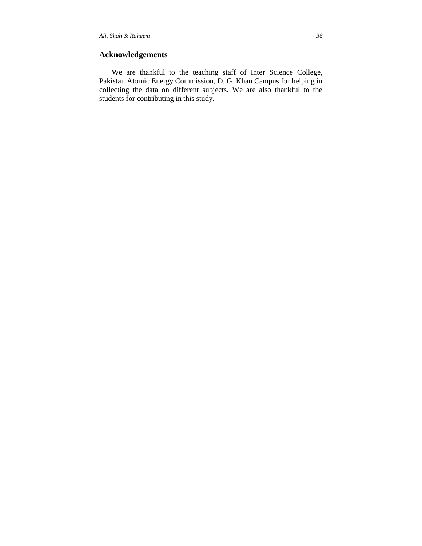## **Acknowledgements**

We are thankful to the teaching staff of Inter Science College, Pakistan Atomic Energy Commission, D. G. Khan Campus for helping in collecting the data on different subjects. We are also thankful to the students for contributing in this study.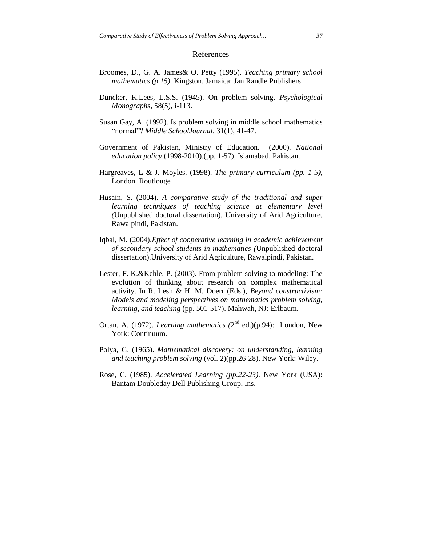#### References

- Broomes, D., G. A. James& O. Petty (1995). *Teaching primary school mathematics (p.15)*. Kingston, Jamaica: Jan Randle Publishers
- Duncker, K.Lees, L.S.S. (1945). On problem solving. *Psychological Monographs*, 58(5), i-113.
- Susan Gay, A. (1992). Is problem solving in middle school mathematics "normal"? *Middle SchoolJournal*. 31(1), 41-47.
- Government of Pakistan, Ministry of Education. (2000). *National education policy* (1998-2010).(pp. 1-57), Islamabad, Pakistan.
- Hargreaves, L & J. Moyles. (1998). *The primary curriculum (pp. 1-5),*  London. Routlouge
- Husain, S. (2004). *A comparative study of the traditional and super learning techniques of teaching science at elementary level (*Unpublished doctoral dissertation). University of Arid Agriculture, Rawalpindi, Pakistan.
- Iqbal, M. (2004).*Effect of cooperative learning in academic achievement of secondary school students in mathematics (*Unpublished doctoral dissertation).University of Arid Agriculture, Rawalpindi, Pakistan.
- Lester, F. K.&Kehle, P. (2003). From problem solving to modeling: The evolution of thinking about research on complex mathematical activity. In R. Lesh & H. M. Doerr (Eds.), *Beyond constructivism: Models and modeling perspectives on mathematics problem solving, learning, and teaching* (pp. 501-517). Mahwah, NJ: Erlbaum.
- Ortan, A. (1972). *Learning mathematics* (2<sup>nd</sup> ed.)(p.94): London, New York: Continuum.
- Polya, G. (1965). *Mathematical discovery: on understanding, learning and teaching problem solving* (vol. 2)(pp.26-28). New York: Wiley.
- Rose, C. (1985). *Accelerated Learning (pp.22-23)*. New York (USA): Bantam Doubleday Dell Publishing Group, Ins.